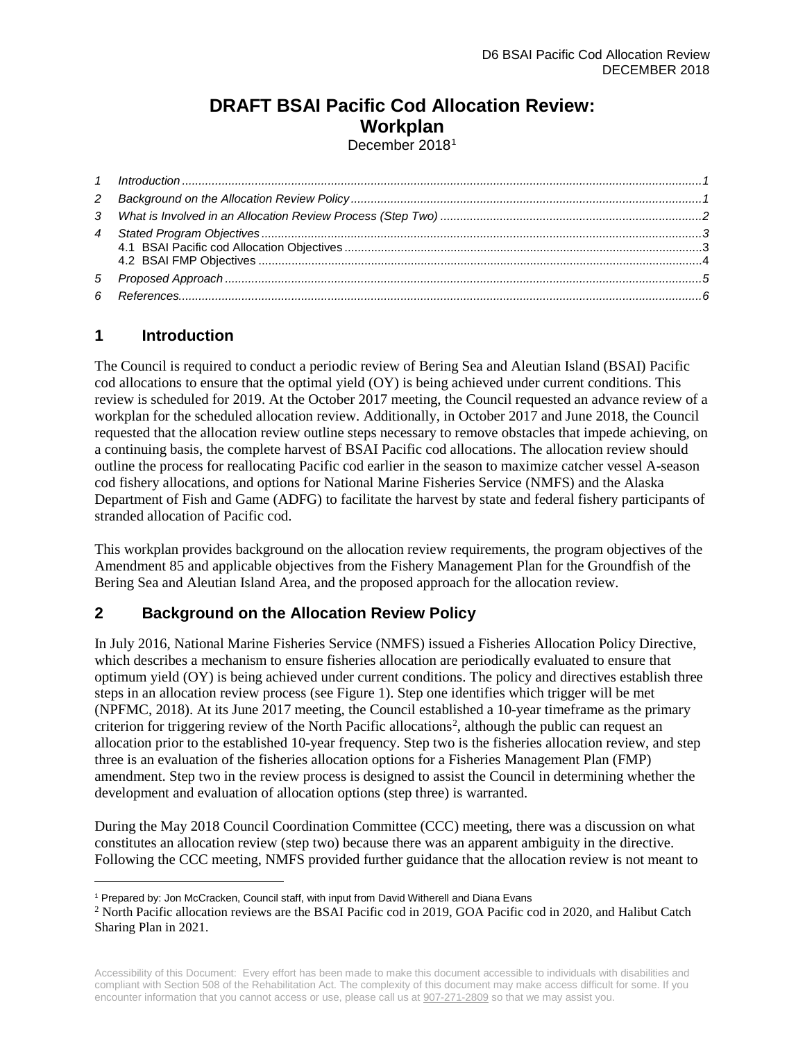# **DRAFT BSAI Pacific Cod Allocation Review: Workplan**

December 20[1](#page-0-2)8<sup>1</sup>

## <span id="page-0-0"></span>**1 Introduction**

 $\overline{a}$ 

The Council is required to conduct a periodic review of Bering Sea and Aleutian Island (BSAI) Pacific cod allocations to ensure that the optimal yield (OY) is being achieved under current conditions. This review is scheduled for 2019. At the October 2017 meeting, the Council requested an advance review of a workplan for the scheduled allocation review. Additionally, in October 2017 and June 2018, the Council requested that the allocation review outline steps necessary to remove obstacles that impede achieving, on a continuing basis, the complete harvest of BSAI Pacific cod allocations. The allocation review should outline the process for reallocating Pacific cod earlier in the season to maximize catcher vessel A-season cod fishery allocations, and options for National Marine Fisheries Service (NMFS) and the Alaska Department of Fish and Game (ADFG) to facilitate the harvest by state and federal fishery participants of stranded allocation of Pacific cod.

This workplan provides background on the allocation review requirements, the program objectives of the Amendment 85 and applicable objectives from the Fishery Management Plan for the Groundfish of the Bering Sea and Aleutian Island Area, and the proposed approach for the allocation review.

## <span id="page-0-1"></span>**2 Background on the Allocation Review Policy**

In July 2016, National Marine Fisheries Service (NMFS) issued a Fisheries Allocation Policy Directive, which describes a mechanism to ensure fisheries allocation are periodically evaluated to ensure that optimum yield (OY) is being achieved under current conditions. The policy and directives establish three steps in an allocation review process (see Figure 1). Step one identifies which trigger will be met (NPFMC, 2018). At its June 2017 meeting, the Council established a 10-year timeframe as the primary criterion for triggering review of the North Pacific allocations<sup>2</sup>, although the public can request an allocation prior to the established 10-year frequency. Step two is the fisheries allocation review, and step three is an evaluation of the fisheries allocation options for a Fisheries Management Plan (FMP) amendment. Step two in the review process is designed to assist the Council in determining whether the development and evaluation of allocation options (step three) is warranted.

During the May 2018 Council Coordination Committee (CCC) meeting, there was a discussion on what constitutes an allocation review (step two) because there was an apparent ambiguity in the directive. Following the CCC meeting, NMFS provided further guidance that the allocation review is not meant to

<span id="page-0-2"></span><sup>1</sup> Prepared by: Jon McCracken, Council staff, with input from David Witherell and Diana Evans

<span id="page-0-3"></span><sup>2</sup> North Pacific allocation reviews are the BSAI Pacific cod in 2019, GOA Pacific cod in 2020, and Halibut Catch Sharing Plan in 2021.

Accessibility of this Document: Every effort has been made to make this document accessible to individuals with disabilities and compliant with Section 508 of the Rehabilitation Act. The complexity of this document may make access difficult for some. If you encounter information that you cannot access or use, please call us at [907-271-2809](tel:%28907%29%20586-7228) so that we may assist you.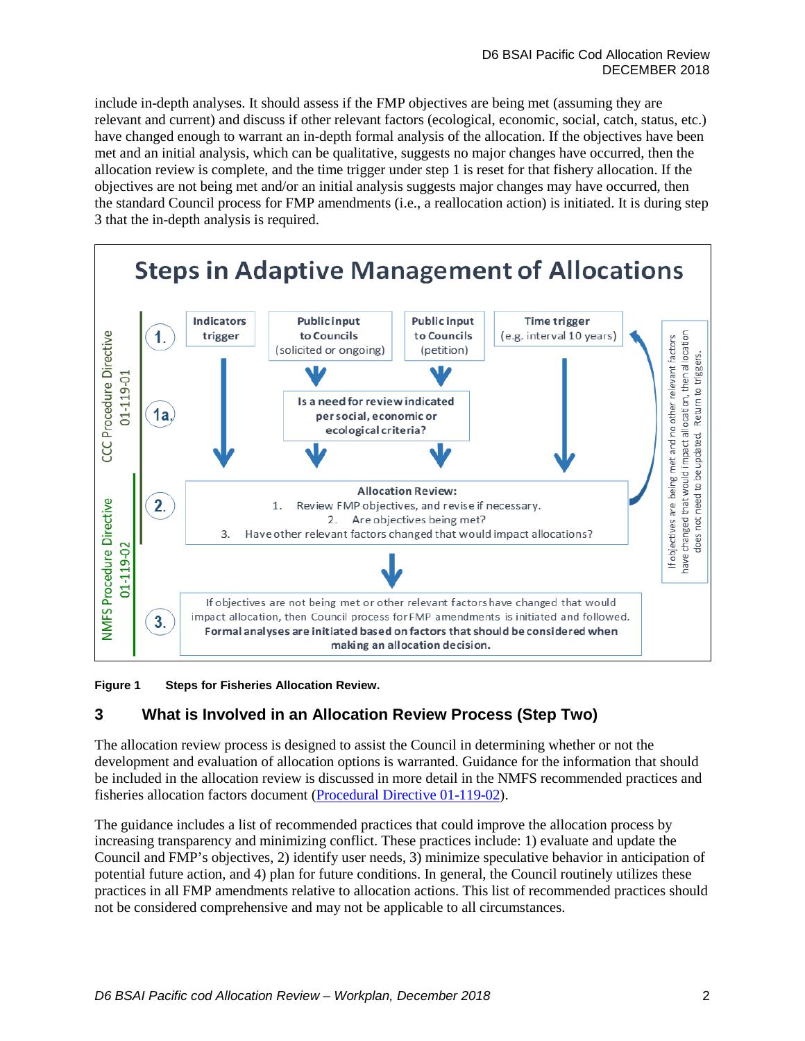include in-depth analyses. It should assess if the FMP objectives are being met (assuming they are relevant and current) and discuss if other relevant factors (ecological, economic, social, catch, status, etc.) have changed enough to warrant an in-depth formal analysis of the allocation. If the objectives have been met and an initial analysis, which can be qualitative, suggests no major changes have occurred, then the allocation review is complete, and the time trigger under step 1 is reset for that fishery allocation. If the objectives are not being met and/or an initial analysis suggests major changes may have occurred, then the standard Council process for FMP amendments (i.e., a reallocation action) is initiated. It is during step 3 that the in-depth analysis is required.



**Figure 1 Steps for Fisheries Allocation Review.** 

# <span id="page-1-0"></span>**3 What is Involved in an Allocation Review Process (Step Two)**

The allocation review process is designed to assist the Council in determining whether or not the development and evaluation of allocation options is warranted. Guidance for the information that should be included in the allocation review is discussed in more detail in the NMFS recommended practices and fisheries allocation factors document [\(Procedural Directive 01-119-02\)](http://npfmc.legistar.com/gateway.aspx?M=F&ID=d58abe8d-6d7c-46db-be0c-77ef7d3b260d.pdf).

The guidance includes a list of recommended practices that could improve the allocation process by increasing transparency and minimizing conflict. These practices include: 1) evaluate and update the Council and FMP's objectives, 2) identify user needs, 3) minimize speculative behavior in anticipation of potential future action, and 4) plan for future conditions. In general, the Council routinely utilizes these practices in all FMP amendments relative to allocation actions. This list of recommended practices should not be considered comprehensive and may not be applicable to all circumstances.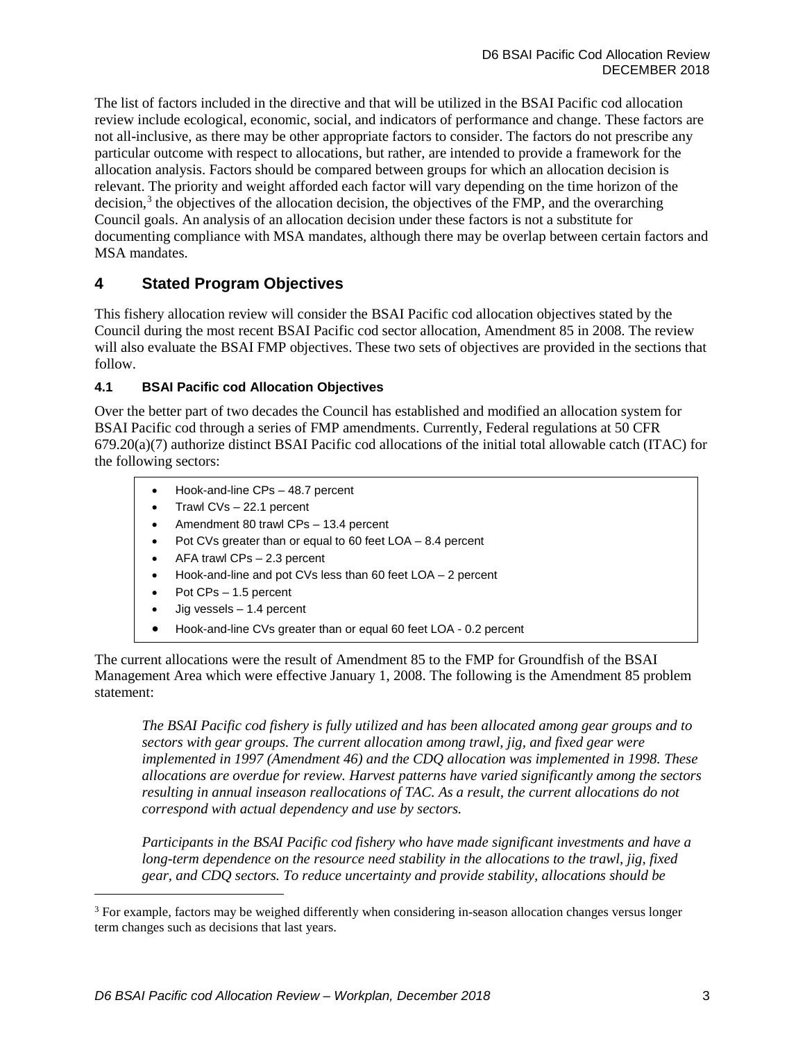The list of factors included in the directive and that will be utilized in the BSAI Pacific cod allocation review include ecological, economic, social, and indicators of performance and change. These factors are not all-inclusive, as there may be other appropriate factors to consider. The factors do not prescribe any particular outcome with respect to allocations, but rather, are intended to provide a framework for the allocation analysis. Factors should be compared between groups for which an allocation decision is relevant. The priority and weight afforded each factor will vary depending on the time horizon of the decision, $3$  the objectives of the allocation decision, the objectives of the FMP, and the overarching Council goals. An analysis of an allocation decision under these factors is not a substitute for documenting compliance with MSA mandates, although there may be overlap between certain factors and MSA mandates.

## <span id="page-2-0"></span>**4 Stated Program Objectives**

This fishery allocation review will consider the BSAI Pacific cod allocation objectives stated by the Council during the most recent BSAI Pacific cod sector allocation, Amendment 85 in 2008. The review will also evaluate the BSAI FMP objectives. These two sets of objectives are provided in the sections that follow.

### <span id="page-2-1"></span>**4.1 BSAI Pacific cod Allocation Objectives**

Over the better part of two decades the Council has established and modified an allocation system for BSAI Pacific cod through a series of FMP amendments. Currently, Federal regulations at 50 CFR  $679.20(a)(7)$  authorize distinct BSAI Pacific cod allocations of the initial total allowable catch (ITAC) for the following sectors:

- Hook-and-line CPs 48.7 percent
- Trawl CVs 22.1 percent
- Amendment 80 trawl CPs 13.4 percent
- Pot CVs greater than or equal to 60 feet LOA 8.4 percent
- AFA trawl CPs 2.3 percent
- Hook-and-line and pot CVs less than 60 feet LOA 2 percent
- Pot CPs 1.5 percent

 $\overline{a}$ 

- $J$ ig vessels 1.4 percent
- Hook-and-line CVs greater than or equal 60 feet LOA 0.2 percent

The current allocations were the result of Amendment 85 to the FMP for Groundfish of the BSAI Management Area which were effective January 1, 2008. The following is the Amendment 85 problem statement:

*The BSAI Pacific cod fishery is fully utilized and has been allocated among gear groups and to sectors with gear groups. The current allocation among trawl, jig, and fixed gear were implemented in 1997 (Amendment 46) and the CDQ allocation was implemented in 1998. These allocations are overdue for review. Harvest patterns have varied significantly among the sectors resulting in annual inseason reallocations of TAC. As a result, the current allocations do not correspond with actual dependency and use by sectors.* 

*Participants in the BSAI Pacific cod fishery who have made significant investments and have a long-term dependence on the resource need stability in the allocations to the trawl, jig, fixed gear, and CDQ sectors. To reduce uncertainty and provide stability, allocations should be* 

<span id="page-2-2"></span><sup>&</sup>lt;sup>3</sup> For example, factors may be weighed differently when considering in-season allocation changes versus longer term changes such as decisions that last years.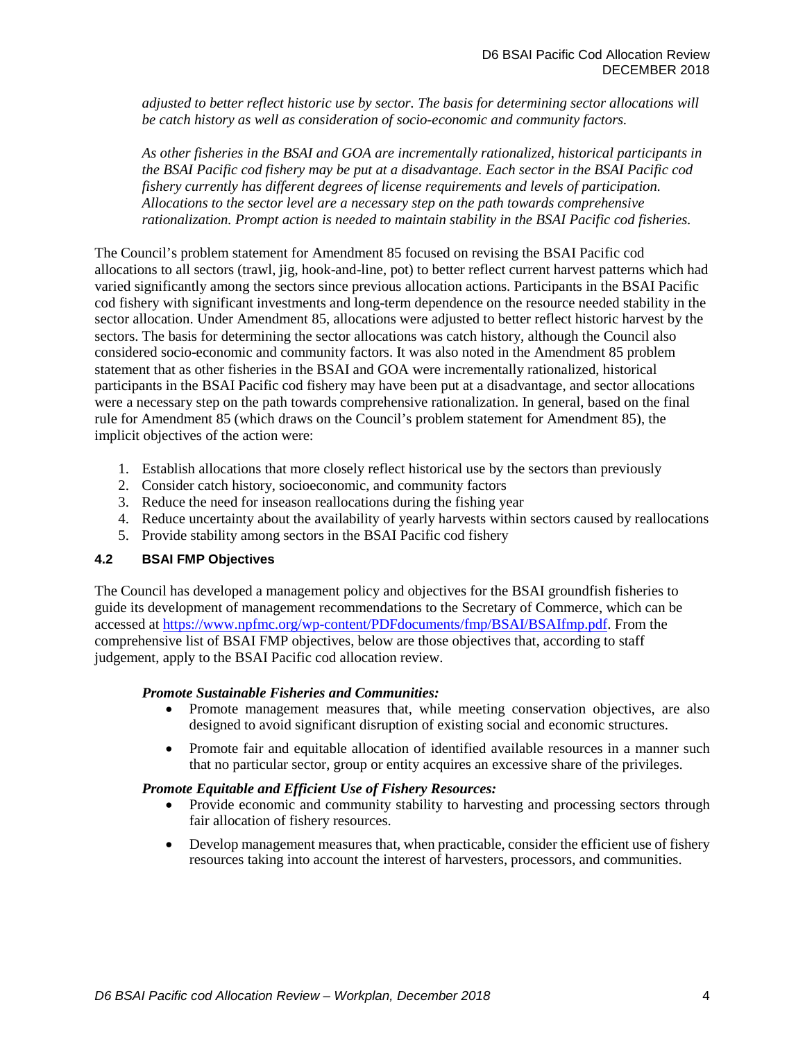*adjusted to better reflect historic use by sector. The basis for determining sector allocations will be catch history as well as consideration of socio-economic and community factors.* 

*As other fisheries in the BSAI and GOA are incrementally rationalized, historical participants in the BSAI Pacific cod fishery may be put at a disadvantage. Each sector in the BSAI Pacific cod fishery currently has different degrees of license requirements and levels of participation. Allocations to the sector level are a necessary step on the path towards comprehensive rationalization. Prompt action is needed to maintain stability in the BSAI Pacific cod fisheries.* 

The Council's problem statement for Amendment 85 focused on revising the BSAI Pacific cod allocations to all sectors (trawl, jig, hook-and-line, pot) to better reflect current harvest patterns which had varied significantly among the sectors since previous allocation actions. Participants in the BSAI Pacific cod fishery with significant investments and long-term dependence on the resource needed stability in the sector allocation. Under Amendment 85, allocations were adjusted to better reflect historic harvest by the sectors. The basis for determining the sector allocations was catch history, although the Council also considered socio-economic and community factors. It was also noted in the Amendment 85 problem statement that as other fisheries in the BSAI and GOA were incrementally rationalized, historical participants in the BSAI Pacific cod fishery may have been put at a disadvantage, and sector allocations were a necessary step on the path towards comprehensive rationalization. In general, based on the final rule for Amendment 85 (which draws on the Council's problem statement for Amendment 85), the implicit objectives of the action were:

- 1. Establish allocations that more closely reflect historical use by the sectors than previously
- 2. Consider catch history, socioeconomic, and community factors
- 3. Reduce the need for inseason reallocations during the fishing year
- 4. Reduce uncertainty about the availability of yearly harvests within sectors caused by reallocations
- 5. Provide stability among sectors in the BSAI Pacific cod fishery

#### <span id="page-3-0"></span>**4.2 BSAI FMP Objectives**

The Council has developed a management policy and objectives for the BSAI groundfish fisheries to guide its development of management recommendations to the Secretary of Commerce, which can be accessed at [https://www.npfmc.org/wp-content/PDFdocuments/fmp/BSAI/BSAIfmp.pdf.](https://www.npfmc.org/wp-content/PDFdocuments/fmp/BSAI/BSAIfmp.pdf) From the comprehensive list of BSAI FMP objectives, below are those objectives that, according to staff judgement, apply to the BSAI Pacific cod allocation review.

#### *Promote Sustainable Fisheries and Communities:*

- Promote management measures that, while meeting conservation objectives, are also designed to avoid significant disruption of existing social and economic structures.
- Promote fair and equitable allocation of identified available resources in a manner such that no particular sector, group or entity acquires an excessive share of the privileges.

#### *Promote Equitable and Efficient Use of Fishery Resources:*

- Provide economic and community stability to harvesting and processing sectors through fair allocation of fishery resources.
- Develop management measures that, when practicable, consider the efficient use of fishery resources taking into account the interest of harvesters, processors, and communities.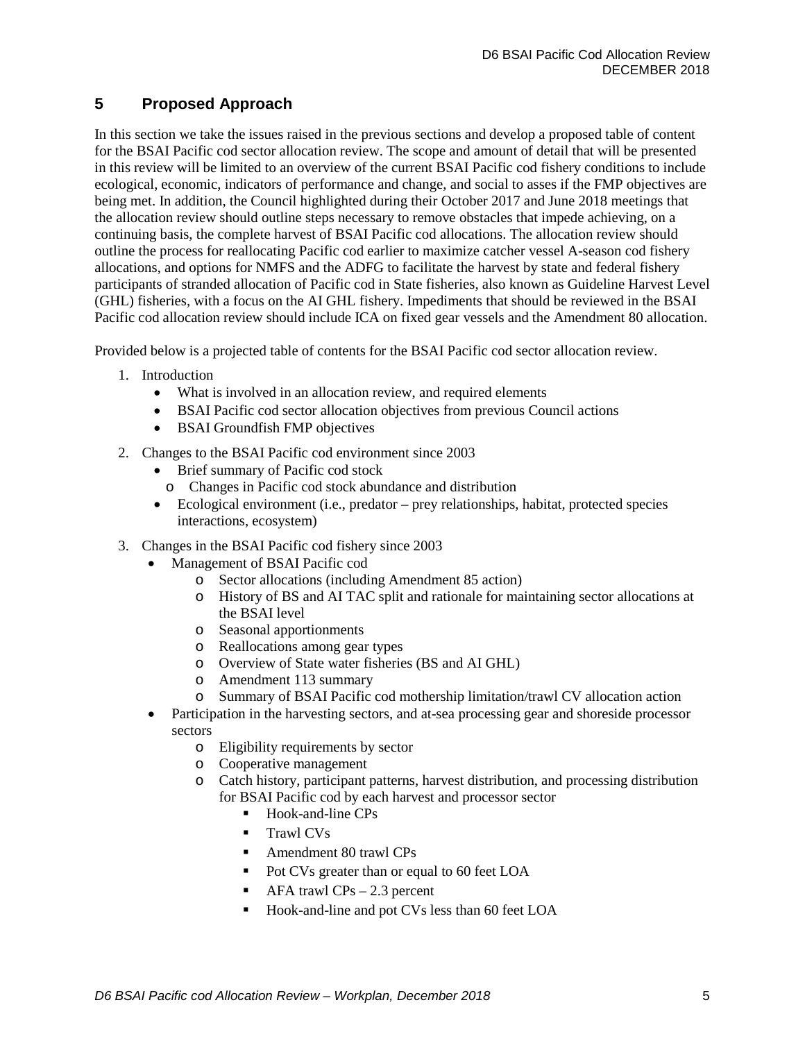## <span id="page-4-0"></span>**5 Proposed Approach**

In this section we take the issues raised in the previous sections and develop a proposed table of content for the BSAI Pacific cod sector allocation review. The scope and amount of detail that will be presented in this review will be limited to an overview of the current BSAI Pacific cod fishery conditions to include ecological, economic, indicators of performance and change, and social to asses if the FMP objectives are being met. In addition, the Council highlighted during their October 2017 and June 2018 meetings that the allocation review should outline steps necessary to remove obstacles that impede achieving, on a continuing basis, the complete harvest of BSAI Pacific cod allocations. The allocation review should outline the process for reallocating Pacific cod earlier to maximize catcher vessel A-season cod fishery allocations, and options for NMFS and the ADFG to facilitate the harvest by state and federal fishery participants of stranded allocation of Pacific cod in State fisheries, also known as Guideline Harvest Level (GHL) fisheries, with a focus on the AI GHL fishery. Impediments that should be reviewed in the BSAI Pacific cod allocation review should include ICA on fixed gear vessels and the Amendment 80 allocation.

Provided below is a projected table of contents for the BSAI Pacific cod sector allocation review.

- 1. Introduction
	- What is involved in an allocation review, and required elements
	- BSAI Pacific cod sector allocation objectives from previous Council actions
	- BSAI Groundfish FMP objectives
- 2. Changes to the BSAI Pacific cod environment since 2003
	- Brief summary of Pacific cod stock
		- o Changes in Pacific cod stock abundance and distribution
	- Ecological environment (i.e., predator prey relationships, habitat, protected species interactions, ecosystem)
- 3. Changes in the BSAI Pacific cod fishery since 2003
	- Management of BSAI Pacific cod
		- o Sector allocations (including Amendment 85 action)
		- o History of BS and AI TAC split and rationale for maintaining sector allocations at the BSAI level
		- o Seasonal apportionments
		- o Reallocations among gear types
		- o Overview of State water fisheries (BS and AI GHL)
		- o Amendment 113 summary
		- o Summary of BSAI Pacific cod mothership limitation/trawl CV allocation action
	- Participation in the harvesting sectors, and at-sea processing gear and shoreside processor sectors
		- o Eligibility requirements by sector
		- o Cooperative management
		- o Catch history, participant patterns, harvest distribution, and processing distribution for BSAI Pacific cod by each harvest and processor sector
			- $\blacksquare$  Hook-and-line CPs
			- Trawl CVs
			- Amendment 80 trawl CPs
			- Pot CVs greater than or equal to 60 feet LOA
			- $\blacksquare$  AFA trawl CPs 2.3 percent
			- Hook-and-line and pot CVs less than 60 feet LOA